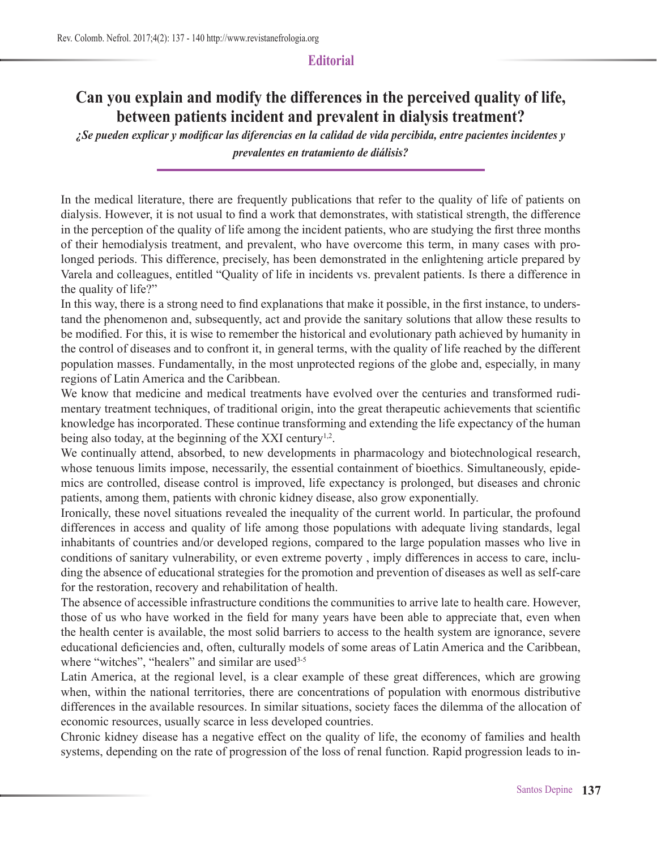## **Editorial**

## **Can you explain and modify the differences in the perceived quality of life, between patients incident and prevalent in dialysis treatment?**

*¿Se pueden explicar y modificar las diferencias en la calidad de vida percibida, entre pacientes incidentes y prevalentes en tratamiento de diálisis?*

In the medical literature, there are frequently publications that refer to the quality of life of patients on dialysis. However, it is not usual to find a work that demonstrates, with statistical strength, the difference in the perception of the quality of life among the incident patients, who are studying the first three months of their hemodialysis treatment, and prevalent, who have overcome this term, in many cases with prolonged periods. This difference, precisely, has been demonstrated in the enlightening article prepared by Varela and colleagues, entitled "Quality of life in incidents vs. prevalent patients. Is there a difference in the quality of life?"

In this way, there is a strong need to find explanations that make it possible, in the first instance, to understand the phenomenon and, subsequently, act and provide the sanitary solutions that allow these results to be modified. For this, it is wise to remember the historical and evolutionary path achieved by humanity in the control of diseases and to confront it, in general terms, with the quality of life reached by the different population masses. Fundamentally, in the most unprotected regions of the globe and, especially, in many regions of Latin America and the Caribbean.

We know that medicine and medical treatments have evolved over the centuries and transformed rudimentary treatment techniques, of traditional origin, into the great therapeutic achievements that scientific knowledge has incorporated. These continue transforming and extending the life expectancy of the human being also today, at the beginning of the XXI century<sup>1,2</sup>.

We continually attend, absorbed, to new developments in pharmacology and biotechnological research, whose tenuous limits impose, necessarily, the essential containment of bioethics. Simultaneously, epidemics are controlled, disease control is improved, life expectancy is prolonged, but diseases and chronic patients, among them, patients with chronic kidney disease, also grow exponentially.

Ironically, these novel situations revealed the inequality of the current world. In particular, the profound differences in access and quality of life among those populations with adequate living standards, legal inhabitants of countries and/or developed regions, compared to the large population masses who live in conditions of sanitary vulnerability, or even extreme poverty , imply differences in access to care, including the absence of educational strategies for the promotion and prevention of diseases as well as self-care for the restoration, recovery and rehabilitation of health.

The absence of accessible infrastructure conditions the communities to arrive late to health care. However, those of us who have worked in the field for many years have been able to appreciate that, even when the health center is available, the most solid barriers to access to the health system are ignorance, severe educational deficiencies and, often, culturally models of some areas of Latin America and the Caribbean, where "witches", "healers" and similar are used<sup>3-5</sup>

Latin America, at the regional level, is a clear example of these great differences, which are growing when, within the national territories, there are concentrations of population with enormous distributive differences in the available resources. In similar situations, society faces the dilemma of the allocation of economic resources, usually scarce in less developed countries.

Chronic kidney disease has a negative effect on the quality of life, the economy of families and health systems, depending on the rate of progression of the loss of renal function. Rapid progression leads to in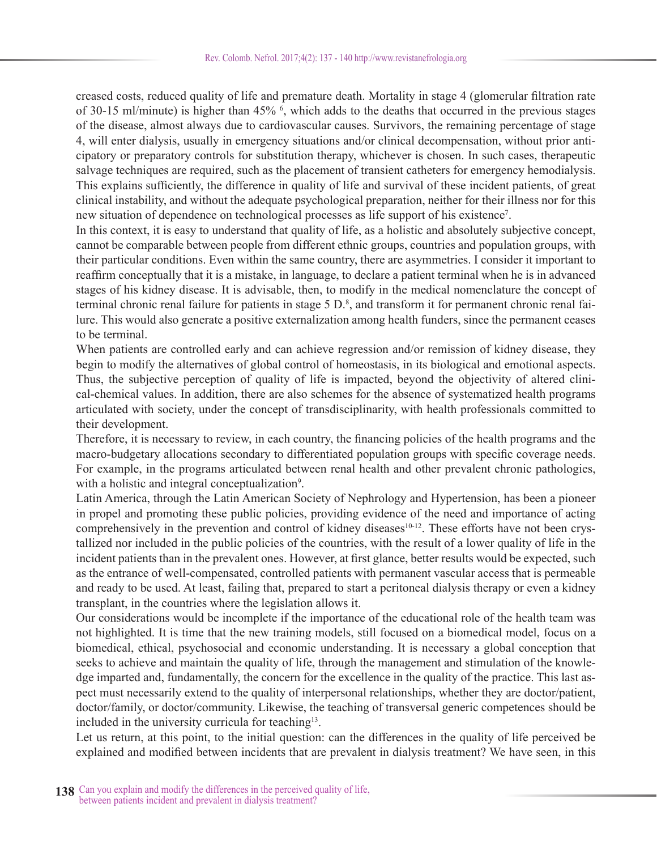creased costs, reduced quality of life and premature death. Mortality in stage 4 (glomerular filtration rate of 30-15 ml/minute) is higher than 45%  $\frac{6}{3}$ , which adds to the deaths that occurred in the previous stages of the disease, almost always due to cardiovascular causes. Survivors, the remaining percentage of stage 4, will enter dialysis, usually in emergency situations and/or clinical decompensation, without prior anticipatory or preparatory controls for substitution therapy, whichever is chosen. In such cases, therapeutic salvage techniques are required, such as the placement of transient catheters for emergency hemodialysis. This explains sufficiently, the difference in quality of life and survival of these incident patients, of great clinical instability, and without the adequate psychological preparation, neither for their illness nor for this new situation of dependence on technological processes as life support of his existence<sup>7</sup>.

In this context, it is easy to understand that quality of life, as a holistic and absolutely subjective concept, cannot be comparable between people from different ethnic groups, countries and population groups, with their particular conditions. Even within the same country, there are asymmetries. I consider it important to reaffirm conceptually that it is a mistake, in language, to declare a patient terminal when he is in advanced stages of his kidney disease. It is advisable, then, to modify in the medical nomenclature the concept of terminal chronic renal failure for patients in stage 5 D.<sup>8</sup>, and transform it for permanent chronic renal failure. This would also generate a positive externalization among health funders, since the permanent ceases to be terminal.

When patients are controlled early and can achieve regression and/or remission of kidney disease, they begin to modify the alternatives of global control of homeostasis, in its biological and emotional aspects. Thus, the subjective perception of quality of life is impacted, beyond the objectivity of altered clinical-chemical values. In addition, there are also schemes for the absence of systematized health programs articulated with society, under the concept of transdisciplinarity, with health professionals committed to their development.

Therefore, it is necessary to review, in each country, the financing policies of the health programs and the macro-budgetary allocations secondary to differentiated population groups with specific coverage needs. For example, in the programs articulated between renal health and other prevalent chronic pathologies, with a holistic and integral conceptualization<sup>9</sup>.

Latin America, through the Latin American Society of Nephrology and Hypertension, has been a pioneer in propel and promoting these public policies, providing evidence of the need and importance of acting comprehensively in the prevention and control of kidney diseases<sup>10-12</sup>. These efforts have not been crystallized nor included in the public policies of the countries, with the result of a lower quality of life in the incident patients than in the prevalent ones. However, at first glance, better results would be expected, such as the entrance of well-compensated, controlled patients with permanent vascular access that is permeable and ready to be used. At least, failing that, prepared to start a peritoneal dialysis therapy or even a kidney transplant, in the countries where the legislation allows it.

Our considerations would be incomplete if the importance of the educational role of the health team was not highlighted. It is time that the new training models, still focused on a biomedical model, focus on a biomedical, ethical, psychosocial and economic understanding. It is necessary a global conception that seeks to achieve and maintain the quality of life, through the management and stimulation of the knowledge imparted and, fundamentally, the concern for the excellence in the quality of the practice. This last aspect must necessarily extend to the quality of interpersonal relationships, whether they are doctor/patient, doctor/family, or doctor/community. Likewise, the teaching of transversal generic competences should be included in the university curricula for teaching<sup>13</sup>.

Let us return, at this point, to the initial question: can the differences in the quality of life perceived be explained and modified between incidents that are prevalent in dialysis treatment? We have seen, in this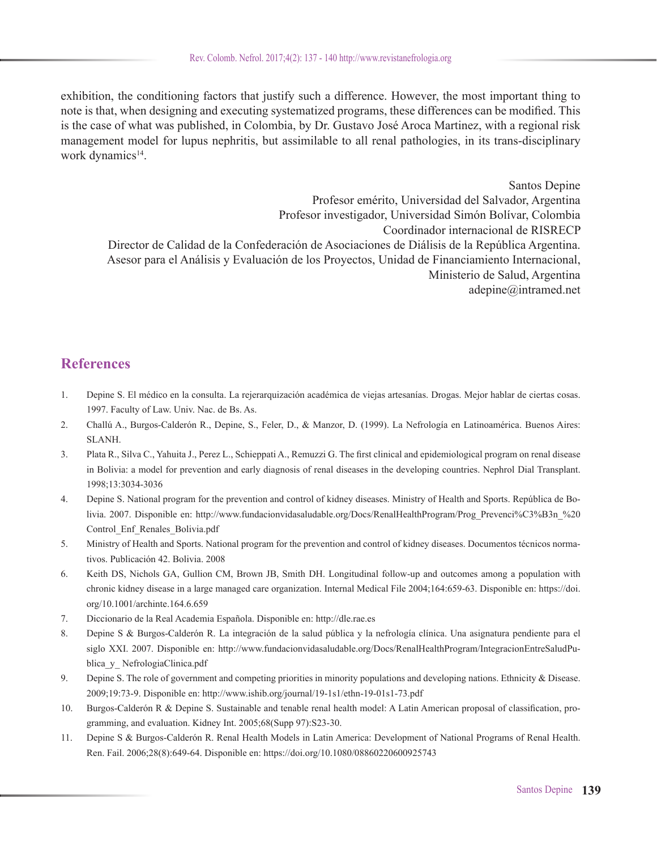exhibition, the conditioning factors that justify such a difference. However, the most important thing to note is that, when designing and executing systematized programs, these differences can be modified. This is the case of what was published, in Colombia, by Dr. Gustavo José Aroca Martinez, with a regional risk management model for lupus nephritis, but assimilable to all renal pathologies, in its trans-disciplinary work dynamics<sup>14</sup>.

Santos Depine Profesor emérito, Universidad del Salvador, Argentina Profesor investigador, Universidad Simón Bolívar, Colombia Coordinador internacional de RISRECP Director de Calidad de la Confederación de Asociaciones de Diálisis de la República Argentina. Asesor para el Análisis y Evaluación de los Proyectos, Unidad de Financiamiento Internacional, Ministerio de Salud, Argentina adepine@intramed.net

## **References**

- 1. Depine S. El médico en la consulta. La rejerarquización académica de viejas artesanías. Drogas. Mejor hablar de ciertas cosas. 1997. Faculty of Law. Univ. Nac. de Bs. As.
- 2. Challú A., Burgos-Calderón R., Depine, S., Feler, D., & Manzor, D. (1999). La Nefrología en Latinoamérica. Buenos Aires: SLANH.
- 3. Plata R., Silva C., Yahuita J., Perez L., Schieppati A., Remuzzi G. The first clinical and epidemiological program on renal disease in Bolivia: a model for prevention and early diagnosis of renal diseases in the developing countries. Nephrol Dial Transplant. 1998;13:3034-3036
- 4. Depine S. National program for the prevention and control of kidney diseases. Ministry of Health and Sports. República de Bolivia. 2007. Disponible en: http://www.fundacionvidasaludable.org/Docs/RenalHealthProgram/Prog\_Prevenci%C3%B3n\_%20 Control\_Enf\_Renales\_Bolivia.pdf
- 5. Ministry of Health and Sports. National program for the prevention and control of kidney diseases. Documentos técnicos normativos. Publicación 42. Bolivia. 2008
- 6. Keith DS, Nichols GA, Gullion CM, Brown JB, Smith DH. Longitudinal follow-up and outcomes among a population with chronic kidney disease in a large managed care organization. Internal Medical File 2004;164:659-63. Disponible en: https://doi. org/10.1001/archinte.164.6.659
- 7. Diccionario de la Real Academia Española. Disponible en: http://dle.rae.es
- 8. Depine S & Burgos-Calderón R. La integración de la salud pública y la nefrología clínica. Una asignatura pendiente para el siglo XXI. 2007. Disponible en: http://www.fundacionvidasaludable.org/Docs/RenalHealthProgram/IntegracionEntreSaludPublica\_y\_ NefrologiaClinica.pdf
- 9. Depine S. The role of government and competing priorities in minority populations and developing nations. Ethnicity & Disease. 2009;19:73-9. Disponible en: http://www.ishib.org/journal/19-1s1/ethn-19-01s1-73.pdf
- 10. Burgos-Calderón R & Depine S. Sustainable and tenable renal health model: A Latin American proposal of classification, programming, and evaluation. Kidney Int. 2005;68(Supp 97):S23-30.
- 11. Depine S & Burgos-Calderón R. Renal Health Models in Latin America: Development of National Programs of Renal Health. Ren. Fail. 2006;28(8):649-64. Disponible en: https://doi.org/10.1080/08860220600925743